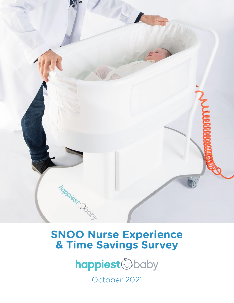

# **SNOO Nurse Experience & Time Savings Survey**



October 2021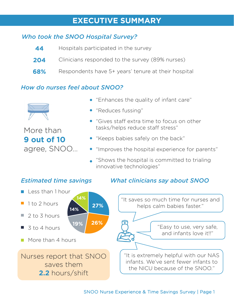## **EXECUTIVE SUMMARY**

### *Who took the SNOO Hospital Survey?*

| 44  | Hospitals participated in the survey                |
|-----|-----------------------------------------------------|
| 204 | Clinicians responded to the survey (89% nurses)     |
| 68% | Respondents have 5+ years' tenure at their hospital |

### *How do nurses feel about SNOO?*



More than **9 out of 10**  agree, SNOO…

- "Enhances the quality of infant care"
- "Reduces fussing"
- "Gives staff extra time to focus on other tasks/helps reduce staff stress"
- "Keeps babies safely on the back"
- "Improves the hospital experience for parents"
- "Shows the hospital is committed to trialing innovative technologies"

### *Estimated time savings*

- Less than 1 hour
- 1 to 2 hours **Contract**
- 2 to 3 hours H
- 3 to 4 hours T.
- **27% 19% 26% 14% 14%**
- **More than 4 hours**

Nurses report that SNOO saves them **2.2** hours/shift

### *What clinicians say about SNOO*



#### SNOO Nurse Experience & Time Savings Survey | Page 1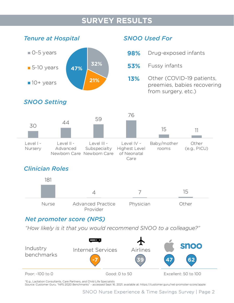## **SURVEY RESULTS**



### *SNOO Used For*

- **98%** Drug-exposed infants
- **53%** Fussy infants
- Other (COVID-19 patients, preemies, babies recovering from surgery, etc.) **13%**

## *SNOO Setting*



### *Clinician Roles*



### *Net promoter score (NPS)*

*"How likely is it that you would recommend SNOO to a colleague?"*



\*E.g., Lactation Consultants, Care Partners, and Child Life Specialists

Source: Customer Guru, "NPS 2020 Benchmarks" - accessed Sept 16, 2021; available at: https://customer.guru/net-promoter-score/apple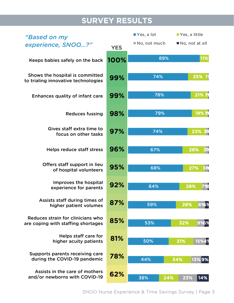# **SURVEY RESULTS**

| "Based on my                                                            |            | $\blacksquare$ Yes, a lot | Yes, a little   |  |
|-------------------------------------------------------------------------|------------|---------------------------|-----------------|--|
| experience, SNOO?"                                                      | <b>YES</b> | No, not much              | No, not at all  |  |
| Keeps babies safely on the back                                         | 100%       | 89%                       | 11%             |  |
| Shows the hospital is committed<br>to trialing innovative technologies  | 99%        | 74%                       | 25% 19          |  |
| <b>Enhances quality of infant care</b>                                  | 99%        | 78%                       | 21% 19          |  |
| <b>Reduces fussing</b>                                                  | 98%        | 79%                       | 19%12           |  |
| Gives staff extra time to<br>focus on other tasks                       | 97%        | 74%                       | 23% 31%         |  |
| <b>Helps reduce staff stress</b>                                        | 96%        | 67%                       | 28%<br><b>3</b> |  |
| Offers staff support in lieu<br>of hospital volunteers                  | 95%        | 68%                       | 27%<br>5%       |  |
| Improves the hospital<br>experience for parents                         | 92%        | 64%                       | 28%             |  |
| Assists staff during times of<br>higher patient volumes                 | 87%        | 59%                       | 28%<br>8%%      |  |
| Reduces strain for clinicians who<br>are coping with staffing shortages | 85%        | 53%                       | 32%<br>9%5%     |  |
| Helps staff care for<br>higher acuity patients                          | 81%        | 50%                       | 15%4%<br>31%    |  |
| Supports parents receiving care<br>during the COVID-19 pandemic         | 78%        | 44%                       | 13%9%<br>34%    |  |
| Assists in the care of mothers<br>and/or newborns with COVID-19         | 62%        | 24%<br>38%                | 23%<br>14%      |  |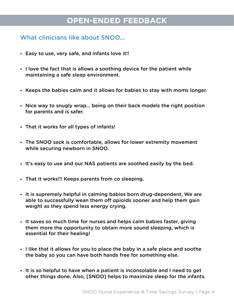## **OPEN-ENDED FEEDBACK**

### What clinicians like about SNOO…

- Easy to use, very safe, and infants love it!!
- I love the fact that is allows a soothing device for the patient while maintaining a safe sleep environment.
- Keeps the babies calm and it allows for babies to stay with moms longer.
- Nice way to snugly wrap… being on their back models the right position for parents and is safer.
- That it works for all types of infants!
- The SNOO sack is comfortable, allows for lower extremity movement while securing newborn in SNOO.
- It's easy to use and our NAS patients are soothed easily by the bed.
- That it works!!! Keeps parents from co sleeping.
- It is supremely helpful in calming babies born drug-dependent, We are able to successfully wean them off opioids sooner and help them gain weight as they spend less energy crying.
- It saves so much time for nurses and helps calm babies faster, giving them more the opportunity to obtain more sound sleeping, which is essential for their healing!
- I like that it allows for you to place the baby in a safe place and soothe the baby so you can have both hands free for something else.
- It is so helpful to have when a patient is inconsolable and I need to get other things done. Also, [SNOO] helps to maximize sleep for the infants.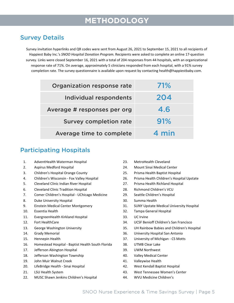## **METHODOLOGY**

### Survey Details

Survey invitation hyperlinks and QR codes were sent from August 26, 2021 to September 15, 2021 to all recipients of Happiest Baby Inc.'s *SNOO Hospital Donation Program.* Recipients were asked to complete an online 17-question survey. Links were closed September 16, 2021 with a total of 204 responses from 44 hospitals, with an organizational response rate of 71%. On average, approximately 5 clinicians responded from each hospital, with a 91% survey completion rate. The survey questionnaire is available upon request by contacting health@happiestbaby.com.

| Organization response rate    | <b>71%</b> |
|-------------------------------|------------|
| Individual respondents        | 204        |
| Average # responses per org   | 4.6        |
| <b>Survey completion rate</b> | 91%        |
| Average time to complete      | 4 min      |

### Participating Hospitals

- 1. AdventHealth Waterman Hospital
- 2. Aspirus Medford Hospital
- 3. Children's Hospital Orange County
- 4. Children's Wisconsin Fox Valley Hospital
- 5. Cleveland Clinic Indian River Hospital
- 6. Cleveland Clinic Tradition Hospital
- 7. Comer Children's Hospital UChicago Medicine
- 8. Duke University Hospital
- 9. Einstein Medical Center Montgomery
- 10. Essentia Health
- 11. EvergreenHealth Kirkland Hospital
- 12. Fort HealthCare
- 13. George Washington University
- 14. Grady Memorial
- 15. Hennepin Health
- 16. Homestead Hospital Baptist Health South Florida
- 17. Jefferson Abington Hospital
- 18. Jefferson Washington Township
- 19. John Muir Walnut Creek
- 20. LifeBridge Health Sinai Hospital
- 21. LSU Health System
- 22. MUSC Shawn Jenkins Children's Hospital
- 23. MetroHealth Cleveland
- 24. Mount Sinai Medical Center
- 25. Prisma Health Baptist Hospital
- 26. Prisma Health Children's Hospital Upstate
- 27. Prisma Health Richland Hospital
- 28. Richmond Children's VCU
- 29. Seattle Children's Hospital
- 30. Summa Health
- 31. SUNY Upstate Medical University Hospital
- 32. Tampa General Hospital
- 33. UC Irvine
- 34. UCSF Benioff Children's San Francisco
- 35. UH Rainbow Babies and Children's Hospital
- 36. University Hospital San Antonio
- 37. University of Michigan CS Motts
- 38. UTMB Clear Lake
- 39. UWM Northwest
- 40. Valley Medical Center
- 41. Valleywise Health
- 42. West Kendall Baptist Hospital
- 43. West Tennessee Women's Center
- 44. WVU Medicine Children's